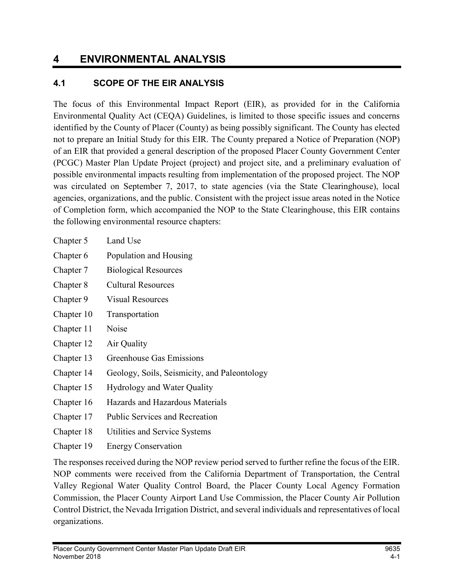# 4 ENVIRONMENTAL ANALYSIS

### 4.1 SCOPE OF THE EIR ANALYSIS

The focus of this Environmental Impact Report (EIR), as provided for in the California Environmental Quality Act (CEQA) Guidelines, is limited to those specific issues and concerns identified by the County of Placer (County) as being possibly significant. The County has elected not to prepare an Initial Study for this EIR. The County prepared a Notice of Preparation (NOP) of an EIR that provided a general description of the proposed Placer County Government Center (PCGC) Master Plan Update Project (project) and project site, and a preliminary evaluation of possible environmental impacts resulting from implementation of the proposed project. The NOP was circulated on September 7, 2017, to state agencies (via the State Clearinghouse), local agencies, organizations, and the public. Consistent with the project issue areas noted in the Notice of Completion form, which accompanied the NOP to the State Clearinghouse, this EIR contains the following environmental resource chapters:

- Chapter 5 Land Use
- Chapter 6 Population and Housing
- Chapter 7 Biological Resources
- Chapter 8 Cultural Resources
- Chapter 9 Visual Resources
- Chapter 10 Transportation
- Chapter 11 Noise
- Chapter 12 Air Quality
- Chapter 13 Greenhouse Gas Emissions
- Chapter 14 Geology, Soils, Seismicity, and Paleontology
- Chapter 15 Hydrology and Water Quality
- Chapter 16 Hazards and Hazardous Materials
- Chapter 17 Public Services and Recreation
- Chapter 18 Utilities and Service Systems
- Chapter 19 Energy Conservation

The responses received during the NOP review period served to further refine the focus of the EIR. NOP comments were received from the California Department of Transportation, the Central Valley Regional Water Quality Control Board, the Placer County Local Agency Formation Commission, the Placer County Airport Land Use Commission, the Placer County Air Pollution Control District, the Nevada Irrigation District, and several individuals and representatives of local organizations.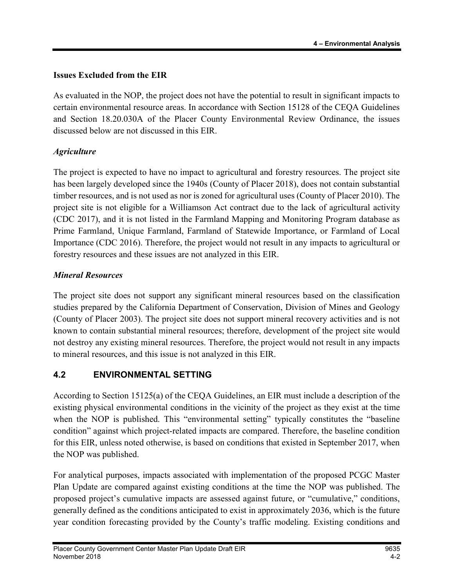### Issues Excluded from the EIR

As evaluated in the NOP, the project does not have the potential to result in significant impacts to certain environmental resource areas. In accordance with Section 15128 of the CEQA Guidelines and Section 18.20.030A of the Placer County Environmental Review Ordinance, the issues discussed below are not discussed in this EIR.

### **Agriculture**

The project is expected to have no impact to agricultural and forestry resources. The project site has been largely developed since the 1940s (County of Placer 2018), does not contain substantial timber resources, and is not used as nor is zoned for agricultural uses (County of Placer 2010). The project site is not eligible for a Williamson Act contract due to the lack of agricultural activity (CDC 2017), and it is not listed in the Farmland Mapping and Monitoring Program database as Prime Farmland, Unique Farmland, Farmland of Statewide Importance, or Farmland of Local Importance (CDC 2016). Therefore, the project would not result in any impacts to agricultural or forestry resources and these issues are not analyzed in this EIR.

#### Mineral Resources

The project site does not support any significant mineral resources based on the classification studies prepared by the California Department of Conservation, Division of Mines and Geology (County of Placer 2003). The project site does not support mineral recovery activities and is not known to contain substantial mineral resources; therefore, development of the project site would not destroy any existing mineral resources. Therefore, the project would not result in any impacts to mineral resources, and this issue is not analyzed in this EIR.

# 4.2 ENVIRONMENTAL SETTING

According to Section 15125(a) of the CEQA Guidelines, an EIR must include a description of the existing physical environmental conditions in the vicinity of the project as they exist at the time when the NOP is published. This "environmental setting" typically constitutes the "baseline" condition" against which project-related impacts are compared. Therefore, the baseline condition for this EIR, unless noted otherwise, is based on conditions that existed in September 2017, when the NOP was published.

For analytical purposes, impacts associated with implementation of the proposed PCGC Master Plan Update are compared against existing conditions at the time the NOP was published. The proposed project's cumulative impacts are assessed against future, or "cumulative," conditions, generally defined as the conditions anticipated to exist in approximately 2036, which is the future year condition forecasting provided by the County's traffic modeling. Existing conditions and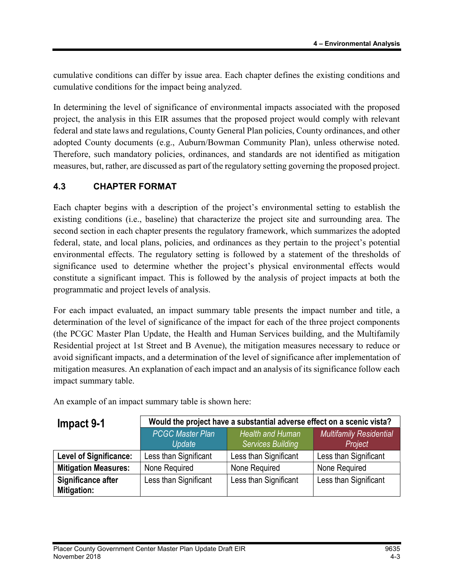cumulative conditions can differ by issue area. Each chapter defines the existing conditions and cumulative conditions for the impact being analyzed.

In determining the level of significance of environmental impacts associated with the proposed project, the analysis in this EIR assumes that the proposed project would comply with relevant federal and state laws and regulations, County General Plan policies, County ordinances, and other adopted County documents (e.g., Auburn/Bowman Community Plan), unless otherwise noted. Therefore, such mandatory policies, ordinances, and standards are not identified as mitigation measures, but, rather, are discussed as part of the regulatory setting governing the proposed project.

# 4.3 CHAPTER FORMAT

Each chapter begins with a description of the project's environmental setting to establish the existing conditions (i.e., baseline) that characterize the project site and surrounding area. The second section in each chapter presents the regulatory framework, which summarizes the adopted federal, state, and local plans, policies, and ordinances as they pertain to the project's potential environmental effects. The regulatory setting is followed by a statement of the thresholds of significance used to determine whether the project's physical environmental effects would constitute a significant impact. This is followed by the analysis of project impacts at both the programmatic and project levels of analysis.

For each impact evaluated, an impact summary table presents the impact number and title, a determination of the level of significance of the impact for each of the three project components (the PCGC Master Plan Update, the Health and Human Services building, and the Multifamily Residential project at 1st Street and B Avenue), the mitigation measures necessary to reduce or avoid significant impacts, and a determination of the level of significance after implementation of mitigation measures. An explanation of each impact and an analysis of its significance follow each impact summary table.

An example of an impact summary table is shown here:

| Impact 9-1                               | Would the project have a substantial adverse effect on a scenic vista? |                                                     |                                           |
|------------------------------------------|------------------------------------------------------------------------|-----------------------------------------------------|-------------------------------------------|
|                                          | <b>PCGC Master Plan</b><br>Update                                      | <b>Health and Human</b><br><b>Services Building</b> | <b>Multifamily Residential</b><br>Project |
| <b>Level of Significance:</b>            | Less than Significant                                                  | Less than Significant                               | Less than Significant                     |
| <b>Mitigation Measures:</b>              | None Required                                                          | None Required                                       | None Required                             |
| Significance after<br><b>Mitigation:</b> | Less than Significant                                                  | Less than Significant                               | Less than Significant                     |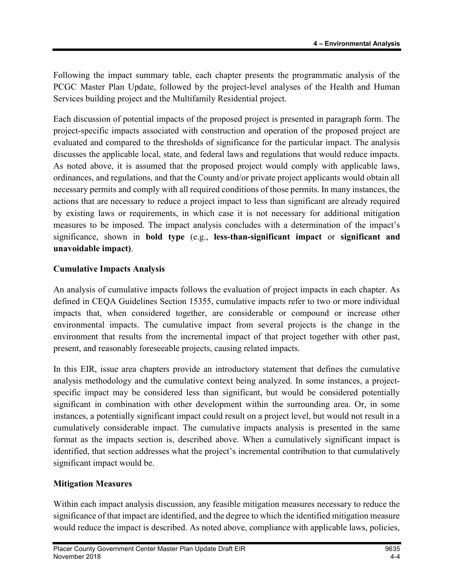Following the impact summary table, each chapter presents the programmatic analysis of the PCGC Master Plan Update, followed by the project-level analyses of the Health and Human Services building project and the Multifamily Residential project.

Each discussion of potential impacts of the proposed project is presented in paragraph form. The project-specific impacts associated with construction and operation of the proposed project are evaluated and compared to the thresholds of significance for the particular impact. The analysis discusses the applicable local, state, and federal laws and regulations that would reduce impacts. As noted above, it is assumed that the proposed project would comply with applicable laws, ordinances, and regulations, and that the County and/or private project applicants would obtain all necessary permits and comply with all required conditions of those permits. In many instances, the actions that are necessary to reduce a project impact to less than significant are already required by existing laws or requirements, in which case it is not necessary for additional mitigation measures to be imposed. The impact analysis concludes with a determination of the impact's significance, shown in bold type (e.g., less-than-significant impact or significant and unavoidable impact).

#### Cumulative Impacts Analysis

An analysis of cumulative impacts follows the evaluation of project impacts in each chapter. As defined in CEQA Guidelines Section 15355, cumulative impacts refer to two or more individual impacts that, when considered together, are considerable or compound or increase other environmental impacts. The cumulative impact from several projects is the change in the environment that results from the incremental impact of that project together with other past, present, and reasonably foreseeable projects, causing related impacts.

In this EIR, issue area chapters provide an introductory statement that defines the cumulative analysis methodology and the cumulative context being analyzed. In some instances, a projectspecific impact may be considered less than significant, but would be considered potentially significant in combination with other development within the surrounding area. Or, in some instances, a potentially significant impact could result on a project level, but would not result in a cumulatively considerable impact. The cumulative impacts analysis is presented in the same format as the impacts section is, described above. When a cumulatively significant impact is identified, that section addresses what the project's incremental contribution to that cumulatively significant impact would be.

#### Mitigation Measures

Within each impact analysis discussion, any feasible mitigation measures necessary to reduce the significance of that impact are identified, and the degree to which the identified mitigation measure would reduce the impact is described. As noted above, compliance with applicable laws, policies,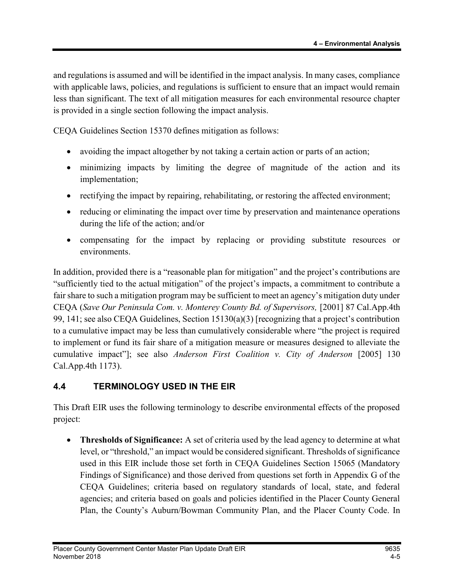and regulations is assumed and will be identified in the impact analysis. In many cases, compliance with applicable laws, policies, and regulations is sufficient to ensure that an impact would remain less than significant. The text of all mitigation measures for each environmental resource chapter is provided in a single section following the impact analysis.

CEQA Guidelines Section 15370 defines mitigation as follows:

- avoiding the impact altogether by not taking a certain action or parts of an action;
- minimizing impacts by limiting the degree of magnitude of the action and its implementation;
- rectifying the impact by repairing, rehabilitating, or restoring the affected environment;
- reducing or eliminating the impact over time by preservation and maintenance operations during the life of the action; and/or
- compensating for the impact by replacing or providing substitute resources or environments.

In addition, provided there is a "reasonable plan for mitigation" and the project's contributions are "sufficiently tied to the actual mitigation" of the project's impacts, a commitment to contribute a fair share to such a mitigation program may be sufficient to meet an agency's mitigation duty under CEQA (Save Our Peninsula Com. v. Monterey County Bd. of Supervisors, [2001] 87 Cal.App.4th 99, 141; see also CEQA Guidelines, Section 15130(a)(3) [recognizing that a project's contribution to a cumulative impact may be less than cumulatively considerable where "the project is required to implement or fund its fair share of a mitigation measure or measures designed to alleviate the cumulative impact"]; see also Anderson First Coalition v. City of Anderson [2005] 130 Cal.App.4th 1173).

# 4.4 TERMINOLOGY USED IN THE EIR

This Draft EIR uses the following terminology to describe environmental effects of the proposed project:

• Thresholds of Significance: A set of criteria used by the lead agency to determine at what level, or "threshold," an impact would be considered significant. Thresholds of significance used in this EIR include those set forth in CEQA Guidelines Section 15065 (Mandatory Findings of Significance) and those derived from questions set forth in Appendix G of the CEQA Guidelines; criteria based on regulatory standards of local, state, and federal agencies; and criteria based on goals and policies identified in the Placer County General Plan, the County's Auburn/Bowman Community Plan, and the Placer County Code. In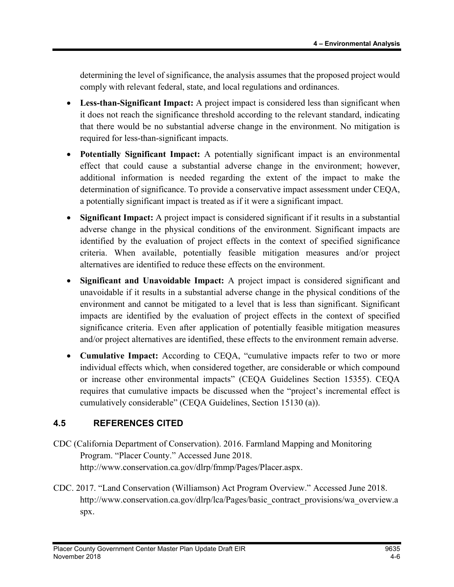determining the level of significance, the analysis assumes that the proposed project would comply with relevant federal, state, and local regulations and ordinances.

- Less-than-Significant Impact: A project impact is considered less than significant when it does not reach the significance threshold according to the relevant standard, indicating that there would be no substantial adverse change in the environment. No mitigation is required for less-than-significant impacts.
- Potentially Significant Impact: A potentially significant impact is an environmental effect that could cause a substantial adverse change in the environment; however, additional information is needed regarding the extent of the impact to make the determination of significance. To provide a conservative impact assessment under CEQA, a potentially significant impact is treated as if it were a significant impact.
- Significant Impact: A project impact is considered significant if it results in a substantial adverse change in the physical conditions of the environment. Significant impacts are identified by the evaluation of project effects in the context of specified significance criteria. When available, potentially feasible mitigation measures and/or project alternatives are identified to reduce these effects on the environment.
- Significant and Unavoidable Impact: A project impact is considered significant and unavoidable if it results in a substantial adverse change in the physical conditions of the environment and cannot be mitigated to a level that is less than significant. Significant impacts are identified by the evaluation of project effects in the context of specified significance criteria. Even after application of potentially feasible mitigation measures and/or project alternatives are identified, these effects to the environment remain adverse.
- Cumulative Impact: According to CEQA, "cumulative impacts refer to two or more individual effects which, when considered together, are considerable or which compound or increase other environmental impacts" (CEQA Guidelines Section 15355). CEQA requires that cumulative impacts be discussed when the "project's incremental effect is cumulatively considerable" (CEQA Guidelines, Section 15130 (a)).

### 4.5 REFERENCES CITED

- CDC (California Department of Conservation). 2016. Farmland Mapping and Monitoring Program. "Placer County." Accessed June 2018. http://www.conservation.ca.gov/dlrp/fmmp/Pages/Placer.aspx.
- CDC. 2017. "Land Conservation (Williamson) Act Program Overview." Accessed June 2018. http://www.conservation.ca.gov/dlrp/lca/Pages/basic\_contract\_provisions/wa\_overview.a spx.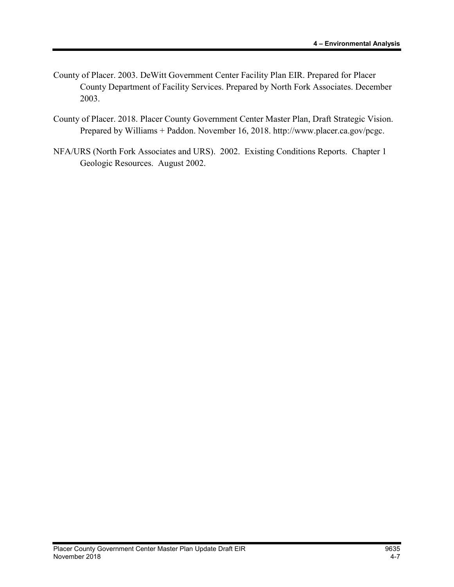- County of Placer. 2003. DeWitt Government Center Facility Plan EIR. Prepared for Placer County Department of Facility Services. Prepared by North Fork Associates. December 2003.
- County of Placer. 2018. Placer County Government Center Master Plan, Draft Strategic Vision. Prepared by Williams + Paddon. November 16, 2018. http://www.placer.ca.gov/pcgc.
- NFA/URS (North Fork Associates and URS). 2002. Existing Conditions Reports. Chapter 1 Geologic Resources. August 2002.